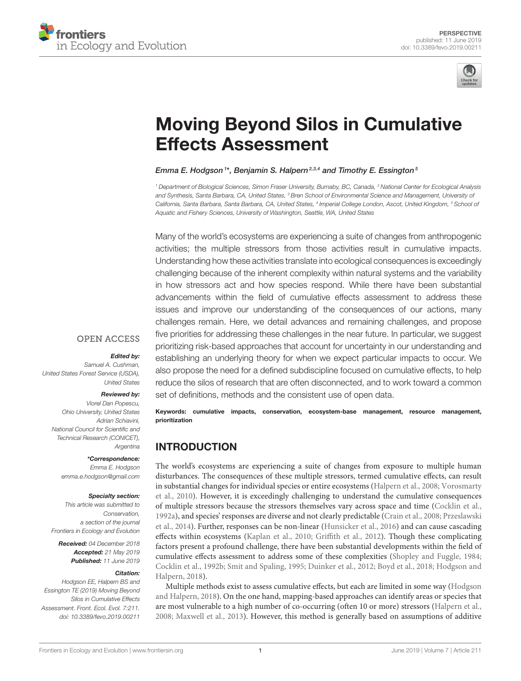



# [Moving Beyond Silos in Cumulative](https://www.frontiersin.org/articles/10.3389/fevo.2019.00211/full) Effects Assessment

### [Emma E. Hodgson](http://loop.frontiersin.org/people/682487/overview)<sup>1\*</sup>, [Benjamin S. Halpern](http://loop.frontiersin.org/people/652730/overview)<sup>2,3,4</sup> and Timothy E. Essington<sup>5</sup>

*<sup>1</sup> Department of Biological Sciences, Simon Fraser University, Burnaby, BC, Canada, <sup>2</sup> National Center for Ecological Analysis and Synthesis, Santa Barbara, CA, United States, <sup>3</sup> Bren School of Environmental Science and Management, University of California, Santa Barbara, Santa Barbara, CA, United States, <sup>4</sup> Imperial College London, Ascot, United Kingdom, <sup>5</sup> School of Aquatic and Fishery Sciences, University of Washington, Seattle, WA, United States*

Many of the world's ecosystems are experiencing a suite of changes from anthropogenic activities; the multiple stressors from those activities result in cumulative impacts. Understanding how these activities translate into ecological consequences is exceedingly challenging because of the inherent complexity within natural systems and the variability in how stressors act and how species respond. While there have been substantial advancements within the field of cumulative effects assessment to address these issues and improve our understanding of the consequences of our actions, many challenges remain. Here, we detail advances and remaining challenges, and propose five priorities for addressing these challenges in the near future. In particular, we suggest prioritizing risk-based approaches that account for uncertainty in our understanding and establishing an underlying theory for when we expect particular impacts to occur. We also propose the need for a defined subdiscipline focused on cumulative effects, to help reduce the silos of research that are often disconnected, and to work toward a common set of definitions, methods and the consistent use of open data.

Keywords: cumulative impacts, conservation, ecosystem-base management, resource management, prioritization

# INTRODUCTION

The world's ecosystems are experiencing a suite of changes from exposure to multiple human disturbances. The consequences of these multiple stressors, termed cumulative effects, can result in substantial changes for individual species or entire ecosystems [\(Halpern et al., 2008;](#page-7-0) Vorosmarty et al., [2010\)](#page-7-1). However, it is exceedingly challenging to understand the cumulative consequences of multiple stressors because the stressors themselves vary across space and time [\(Cocklin et al.,](#page-6-0) [1992a\)](#page-6-0), and species' responses are diverse and not clearly predictable [\(Crain et al., 2008;](#page-6-1) Przeslawski et al., [2014\)](#page-7-2). Further, responses can be non-linear [\(Hunsicker et al., 2016\)](#page-7-3) and can cause cascading effects within ecosystems [\(Kaplan et al., 2010;](#page-7-4) [Griffith et al., 2012\)](#page-7-5). Though these complicating factors present a profound challenge, there have been substantial developments within the field of cumulative effects assessment to address some of these complexities [\(Shopley and Fuggle, 1984;](#page-7-6) [Cocklin et al., 1992b;](#page-6-2) [Smit and Spaling, 1995;](#page-7-7) [Duinker et al.,](#page-6-3) [2012;](#page-6-3) [Boyd et al., 2018;](#page-6-4) Hodgson and Halpern, [2018\)](#page-7-8).

Multiple methods exist to assess cumulative effects, but each are limited in some way (Hodgson and Halpern, [2018\)](#page-7-8). On the one hand, mapping-based approaches can identify areas or species that are most vulnerable to a high number of co-occurring (often 10 or more) stressors [\(Halpern et al.,](#page-7-0) [2008;](#page-7-0) [Maxwell et al., 2013\)](#page-7-9). However, this method is generally based on assumptions of additive

### **OPEN ACCESS**

#### Edited by:

*Samuel A. Cushman, United States Forest Service (USDA), United States*

### Reviewed by:

*Viorel Dan Popescu, Ohio University, United States Adrian Schiavini, National Council for Scientific and Technical Research (CONICET), Argentina*

#### \*Correspondence:

*Emma E. Hodgson [emma.e.hodgson@gmail.com](mailto:emma.e.hodgson@gmail.com)*

#### Specialty section:

*This article was submitted to Conservation, a section of the journal Frontiers in Ecology and Evolution*

Received: *04 December 2018* Accepted: *21 May 2019* Published: *11 June 2019*

#### Citation:

*Hodgson EE, Halpern BS and Essington TE (2019) Moving Beyond Silos in Cumulative Effects Assessment. Front. Ecol. Evol. 7:211. doi: [10.3389/fevo.2019.00211](https://doi.org/10.3389/fevo.2019.00211)*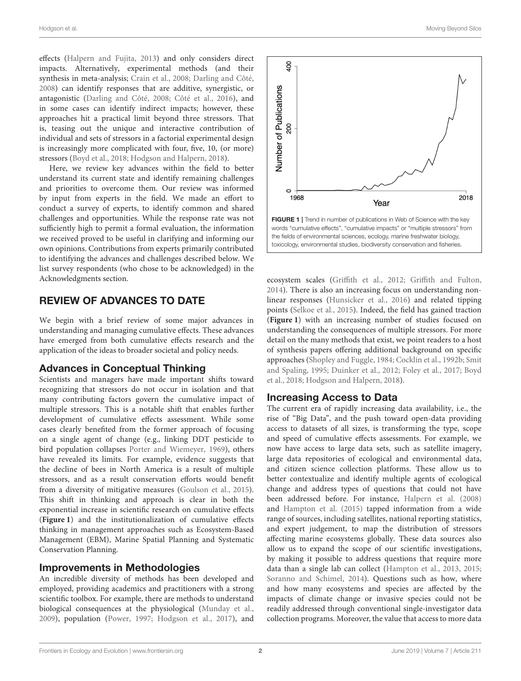effects [\(Halpern and Fujita, 2013\)](#page-7-10) and only considers direct impacts. Alternatively, experimental methods (and their synthesis in meta-analysis; [Crain et al., 2008;](#page-6-1) [Darling and Côté,](#page-6-5) [2008\)](#page-6-5) can identify responses that are additive, synergistic, or antagonistic [\(Darling and Côté, 2008;](#page-6-5) [Côté et al., 2016\)](#page-6-6), and in some cases can identify indirect impacts; however, these approaches hit a practical limit beyond three stressors. That is, teasing out the unique and interactive contribution of individual and sets of stressors in a factorial experimental design is increasingly more complicated with four, five, 10, (or more) stressors [\(Boyd et al., 2018;](#page-6-4) [Hodgson and Halpern, 2018\)](#page-7-8).

Here, we review key advances within the field to better understand its current state and identify remaining challenges and priorities to overcome them. Our review was informed by input from experts in the field. We made an effort to conduct a survey of experts, to identify common and shared challenges and opportunities. While the response rate was not sufficiently high to permit a formal evaluation, the information we received proved to be useful in clarifying and informing our own opinions. Contributions from experts primarily contributed to identifying the advances and challenges described below. We list survey respondents (who chose to be acknowledged) in the Acknowledgments section.

# REVIEW OF ADVANCES TO DATE

We begin with a brief review of some major advances in understanding and managing cumulative effects. These advances have emerged from both cumulative effects research and the application of the ideas to broader societal and policy needs.

### Advances in Conceptual Thinking

Scientists and managers have made important shifts toward recognizing that stressors do not occur in isolation and that many contributing factors govern the cumulative impact of multiple stressors. This is a notable shift that enables further development of cumulative effects assessment. While some cases clearly benefited from the former approach of focusing on a single agent of change (e.g., linking DDT pesticide to bird population collapses [Porter and Wiemeyer, 1969\)](#page-7-11), others have revealed its limits. For example, evidence suggests that the decline of bees in North America is a result of multiple stressors, and as a result conservation efforts would benefit from a diversity of mitigative measures [\(Goulson et al., 2015\)](#page-7-12). This shift in thinking and approach is clear in both the exponential increase in scientific research on cumulative effects (**[Figure 1](#page-1-0)**) and the institutionalization of cumulative effects thinking in management approaches such as Ecosystem-Based Management (EBM), Marine Spatial Planning and Systematic Conservation Planning.

### Improvements in Methodologies

An incredible diversity of methods has been developed and employed, providing academics and practitioners with a strong scientific toolbox. For example, there are methods to understand biological consequences at the physiological [\(Munday et al.,](#page-7-13) [2009\)](#page-7-13), population [\(Power, 1997;](#page-7-14) [Hodgson et al., 2017\)](#page-7-15), and



<span id="page-1-0"></span>ecosystem scales [\(Griffith et al., 2012;](#page-7-5) [Griffith and Fulton,](#page-7-16) [2014\)](#page-7-16). There is also an increasing focus on understanding nonlinear responses [\(Hunsicker et al., 2016\)](#page-7-3) and related tipping points [\(Selkoe et al., 2015\)](#page-7-17). Indeed, the field has gained traction (**[Figure 1](#page-1-0)**) with an increasing number of studies focused on understanding the consequences of multiple stressors. For more detail on the many methods that exist, we point readers to a host of synthesis papers offering additional background on specific approaches [\(Shopley and Fuggle, 1984;](#page-7-6) [Cocklin et al., 1992b;](#page-6-2) Smit and Spaling, [1995;](#page-7-7) [Duinker et al., 2012;](#page-6-3) [Foley et al., 2017;](#page-7-18) Boyd et al., [2018;](#page-6-4) [Hodgson and Halpern, 2018\)](#page-7-8).

### Increasing Access to Data

The current era of rapidly increasing data availability, i.e., the rise of "Big Data", and the push toward open-data providing access to datasets of all sizes, is transforming the type, scope and speed of cumulative effects assessments. For example, we now have access to large data sets, such as satellite imagery, large data repositories of ecological and environmental data, and citizen science collection platforms. These allow us to better contextualize and identify multiple agents of ecological change and address types of questions that could not have been addressed before. For instance, [Halpern et al. \(2008\)](#page-7-0) and [Hampton et al. \(2015\)](#page-7-19) tapped information from a wide range of sources, including satellites, national reporting statistics, and expert judgement, to map the distribution of stressors affecting marine ecosystems globally. These data sources also allow us to expand the scope of our scientific investigations, by making it possible to address questions that require more data than a single lab can collect [\(Hampton et al., 2013,](#page-7-20) [2015;](#page-7-19) [Soranno and Schimel, 2014\)](#page-7-21). Questions such as how, where and how many ecosystems and species are affected by the impacts of climate change or invasive species could not be readily addressed through conventional single-investigator data collection programs. Moreover, the value that access to more data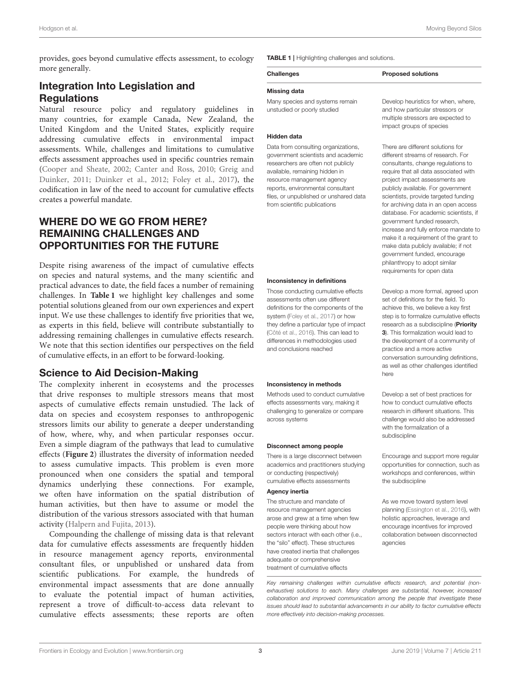provides, goes beyond cumulative effects assessment, to ecology more generally.

# Integration Into Legislation and **Regulations**

Natural resource policy and regulatory guidelines in many countries, for example Canada, New Zealand, the United Kingdom and the United States, explicitly require addressing cumulative effects in environmental impact assessments. While, challenges and limitations to cumulative effects assessment approaches used in specific countries remain [\(Cooper and Sheate, 2002;](#page-6-7) [Canter and Ross, 2010;](#page-6-8) Greig and Duinker, [2011;](#page-7-22) [Duinker et al., 2012;](#page-6-3) [Foley et al., 2017\)](#page-7-18), the codification in law of the need to account for cumulative effects creates a powerful mandate.

# WHERE DO WE GO FROM HERE? REMAINING CHALLENGES AND OPPORTUNITIES FOR THE FUTURE

Despite rising awareness of the impact of cumulative effects on species and natural systems, and the many scientific and practical advances to date, the field faces a number of remaining challenges. In **[Table 1](#page-2-0)** we highlight key challenges and some potential solutions gleaned from our own experiences and expert input. We use these challenges to identify five priorities that we, as experts in this field, believe will contribute substantially to addressing remaining challenges in cumulative effects research. We note that this section identifies our perspectives on the field of cumulative effects, in an effort to be forward-looking.

### Science to Aid Decision-Making

The complexity inherent in ecosystems and the processes that drive responses to multiple stressors means that most aspects of cumulative effects remain unstudied. The lack of data on species and ecosystem responses to anthropogenic stressors limits our ability to generate a deeper understanding of how, where, why, and when particular responses occur. Even a simple diagram of the pathways that lead to cumulative effects (**[Figure 2](#page-3-0)**) illustrates the diversity of information needed to assess cumulative impacts. This problem is even more pronounced when one considers the spatial and temporal dynamics underlying these connections. For example, we often have information on the spatial distribution of human activities, but then have to assume or model the distribution of the various stressors associated with that human activity [\(Halpern and Fujita, 2013\)](#page-7-10).

Compounding the challenge of missing data is that relevant data for cumulative effects assessments are frequently hidden in resource management agency reports, environmental consultant files, or unpublished or unshared data from scientific publications. For example, the hundreds of environmental impact assessments that are done annually to evaluate the potential impact of human activities, represent a trove of difficult-to-access data relevant to cumulative effects assessments; these reports are often <span id="page-2-0"></span>TABLE 1 | Highlighting challenges and solutions.

# Challenges **Proposed solutions**

#### Missing data

Many species and systems remain unstudied or poorly studied

#### Hidden data

Data from consulting organizations, government scientists and academic researchers are often not publicly available, remaining hidden in resource management agency reports, environmental consultant files, or unpublished or unshared data from scientific publications

#### Inconsistency in definitions

Those conducting cumulative effects assessments often use different definitions for the components of the system [\(Foley et al., 2017\)](#page-7-18) or how they define a particular type of impact [\(Côté et al., 2016\)](#page-6-6). This can lead to differences in methodologies used and conclusions reached

#### Inconsistency in methods

Methods used to conduct cumulative effects assessments vary, making it challenging to generalize or compare across systems

#### Disconnect among people

There is a large disconnect between academics and practitioners studying or conducting (respectively) cumulative effects assessments

#### Agency inertia

The structure and mandate of resource management agencies arose and grew at a time when few people were thinking about how sectors interact with each other (i.e., the "silo" effect). These structures have created inertia that challenges adequate or comprehensive treatment of cumulative effects

Develop heuristics for when, where, and how particular stressors or multiple stressors are expected to impact groups of species

There are different solutions for different streams of research. For consultants, change regulations to require that all data associated with project impact assessments are publicly available. For government scientists, provide targeted funding for archiving data in an open access database. For academic scientists, if government funded research, increase and fully enforce mandate to make it a requirement of the grant to make data publicly available; if not government funded, encourage philanthropy to adopt similar requirements for open data

Develop a more formal, agreed upon set of definitions for the field. To achieve this, we believe a key first step is to formalize cumulative effects research as a subdiscipline (Priority 3). This formalization would lead to the development of a community of practice and a more active conversation surrounding definitions, as well as other challenges identified here

Develop a set of best practices for how to conduct cumulative effects research in different situations. This challenge would also be addressed with the formalization of a subdiscipline

Encourage and support more regular opportunities for connection, such as workshops and conferences, within the subdiscipline

As we move toward system level planning [\(Essington et al., 2016\)](#page-6-9), with holistic approaches, leverage and encourage incentives for improved collaboration between disconnected agencies

*Key remaining challenges within cumulative effects research, and potential (nonexhaustive) solutions to each. Many challenges are substantial, however, increased collaboration and improved communication among the people that investigate these issues should lead to substantial advancements in our ability to factor cumulative effects more effectively into decision-making processes.*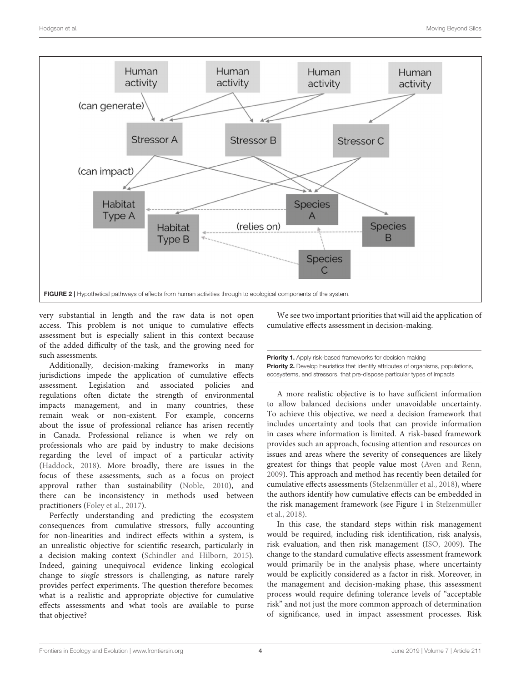

<span id="page-3-0"></span>very substantial in length and the raw data is not open access. This problem is not unique to cumulative effects assessment but is especially salient in this context because of the added difficulty of the task, and the growing need for such assessments.

Additionally, decision-making frameworks in many jurisdictions impede the application of cumulative effects assessment. Legislation and associated policies and regulations often dictate the strength of environmental impacts management, and in many countries, these remain weak or non-existent. For example, concerns about the issue of professional reliance has arisen recently in Canada. Professional reliance is when we rely on professionals who are paid by industry to make decisions regarding the level of impact of a particular activity [\(Haddock, 2018\)](#page-7-23). More broadly, there are issues in the focus of these assessments, such as a focus on project approval rather than sustainability [\(Noble, 2010\)](#page-7-24), and there can be inconsistency in methods used between practitioners [\(Foley et al., 2017\)](#page-7-18).

Perfectly understanding and predicting the ecosystem consequences from cumulative stressors, fully accounting for non-linearities and indirect effects within a system, is an unrealistic objective for scientific research, particularly in a decision making context [\(Schindler and Hilborn, 2015\)](#page-7-25). Indeed, gaining unequivocal evidence linking ecological change to single stressors is challenging, as nature rarely provides perfect experiments. The question therefore becomes: what is a realistic and appropriate objective for cumulative effects assessments and what tools are available to purse that objective?

We see two important priorities that will aid the application of cumulative effects assessment in decision-making.

Priority 1. Apply risk-based frameworks for decision making **Priority 2.** Develop heuristics that identify attributes of organisms, populations, ecosystems, and stressors, that pre-dispose particular types of impacts

A more realistic objective is to have sufficient information to allow balanced decisions under unavoidable uncertainty. To achieve this objective, we need a decision framework that includes uncertainty and tools that can provide information in cases where information is limited. A risk-based framework provides such an approach, focusing attention and resources on issues and areas where the severity of consequences are likely greatest for things that people value most [\(Aven and Renn,](#page-6-10) [2009\)](#page-6-10). This approach and method has recently been detailed for cumulative effects assessments [\(Stelzenmüller et al., 2018\)](#page-7-26), where the authors identify how cumulative effects can be embedded in the risk management framework (see Figure 1 in Stelzenmüller et al., [2018\)](#page-7-26).

In this case, the standard steps within risk management would be required, including risk identification, risk analysis, risk evaluation, and then risk management [\(ISO, 2009\)](#page-7-27). The change to the standard cumulative effects assessment framework would primarily be in the analysis phase, where uncertainty would be explicitly considered as a factor in risk. Moreover, in the management and decision-making phase, this assessment process would require defining tolerance levels of "acceptable risk" and not just the more common approach of determination of significance, used in impact assessment processes. Risk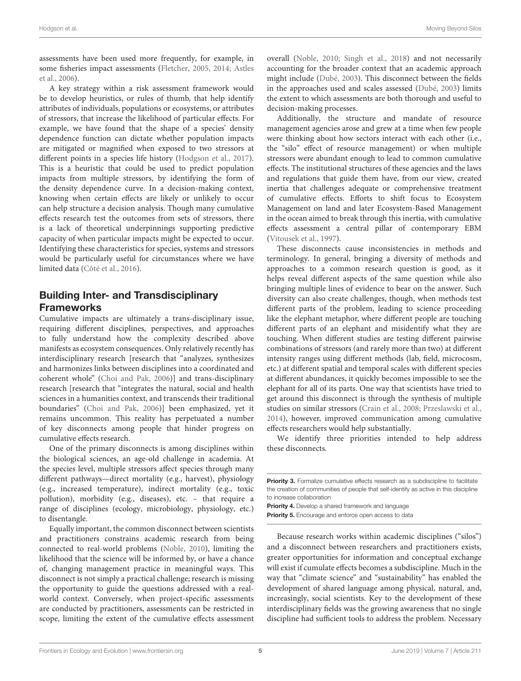assessments have been used more frequently, for example, in some fisheries impact assessments [\(Fletcher, 2005,](#page-6-11) [2014;](#page-6-12) Astles et al., [2006\)](#page-6-13).

A key strategy within a risk assessment framework would be to develop heuristics, or rules of thumb, that help identify attributes of individuals, populations or ecosystems, or attributes of stressors, that increase the likelihood of particular effects. For example, we have found that the shape of a species' density dependence function can dictate whether population impacts are mitigated or magnified when exposed to two stressors at different points in a species life history [\(Hodgson et al., 2017\)](#page-7-15). This is a heuristic that could be used to predict population impacts from multiple stressors, by identifying the form of the density dependence curve. In a decision-making context, knowing when certain effects are likely or unlikely to occur can help structure a decision analysis. Though many cumulative effects research test the outcomes from sets of stressors, there is a lack of theoretical underpinnings supporting predictive capacity of when particular impacts might be expected to occur. Identifying these characteristics for species, systems and stressors would be particularly useful for circumstances where we have limited data [\(Côté et al., 2016\)](#page-6-6).

# Building Inter- and Transdisciplinary Frameworks

Cumulative impacts are ultimately a trans-disciplinary issue, requiring different disciplines, perspectives, and approaches to fully understand how the complexity described above manifests as ecosystem consequences. Only relatively recently has interdisciplinary research [research that "analyzes, synthesizes and harmonizes links between disciplines into a coordinated and coherent whole" [\(Choi and Pak, 2006\)](#page-6-14)] and trans-disciplinary research [research that "integrates the natural, social and health sciences in a humanities context, and transcends their traditional boundaries" [\(Choi and Pak, 2006\)](#page-6-14)] been emphasized, yet it remains uncommon. This reality has perpetuated a number of key disconnects among people that hinder progress on cumulative effects research.

One of the primary disconnects is among disciplines within the biological sciences, an age-old challenge in academia. At the species level, multiple stressors affect species through many different pathways—direct mortality (e.g., harvest), physiology (e.g., increased temperature), indirect mortality (e.g., toxic pollution), morbidity (e.g., diseases), etc. – that require a range of disciplines (ecology, microbiology, physiology, etc.) to disentangle.

Equally important, the common disconnect between scientists and practitioners constrains academic research from being connected to real-world problems [\(Noble, 2010\)](#page-7-24), limiting the likelihood that the science will be informed by, or have a chance of, changing management practice in meaningful ways. This disconnect is not simply a practical challenge; research is missing the opportunity to guide the questions addressed with a realworld context. Conversely, when project-specific assessments are conducted by practitioners, assessments can be restricted in scope, limiting the extent of the cumulative effects assessment overall [\(Noble, 2010;](#page-7-24) [Singh et al., 2018\)](#page-7-28) and not necessarily accounting for the broader context that an academic approach might include [\(Dubé, 2003\)](#page-6-15). This disconnect between the fields in the approaches used and scales assessed [\(Dubé, 2003\)](#page-6-15) limits the extent to which assessments are both thorough and useful to decision-making processes.

Additionally, the structure and mandate of resource management agencies arose and grew at a time when few people were thinking about how sectors interact with each other (i.e., the "silo" effect of resource management) or when multiple stressors were abundant enough to lead to common cumulative effects. The institutional structures of these agencies and the laws and regulations that guide them have, from our view, created inertia that challenges adequate or comprehensive treatment of cumulative effects. Efforts to shift focus to Ecosystem Management on land and later Ecosystem-Based Management in the ocean aimed to break through this inertia, with cumulative effects assessment a central pillar of contemporary EBM [\(Vitousek et al., 1997\)](#page-7-29).

These disconnects cause inconsistencies in methods and terminology. In general, bringing a diversity of methods and approaches to a common research question is good, as it helps reveal different aspects of the same question while also bringing multiple lines of evidence to bear on the answer. Such diversity can also create challenges, though, when methods test different parts of the problem, leading to science proceeding like the elephant metaphor, where different people are touching different parts of an elephant and misidentify what they are touching. When different studies are testing different pairwise combinations of stressors (and rarely more than two) at different intensity ranges using different methods (lab, field, microcosm, etc.) at different spatial and temporal scales with different species at different abundances, it quickly becomes impossible to see the elephant for all of its parts. One way that scientists have tried to get around this disconnect is through the synthesis of multiple studies on similar stressors [\(Crain et al., 2008;](#page-6-1) [Przeslawski et al.,](#page-7-2) [2014\)](#page-7-2), however, improved communication among cumulative effects researchers would help substantially.

We identify three priorities intended to help address these disconnects.

Priority 3. Formalize cumulative effects research as a subdiscipline to facilitate the creation of communities of people that self-identify as active in this discipline to increase collaboration

Priority 4. Develop a shared framework and language Priority 5. Encourage and enforce open access to data

Because research works within academic disciplines ("silos") and a disconnect between researchers and practitioners exists, greater opportunities for information and conceptual exchange will exist if cumulate effects becomes a subdiscipline. Much in the way that "climate science" and "sustainability" has enabled the development of shared language among physical, natural, and, increasingly, social scientists. Key to the development of these interdisciplinary fields was the growing awareness that no single discipline had sufficient tools to address the problem. Necessary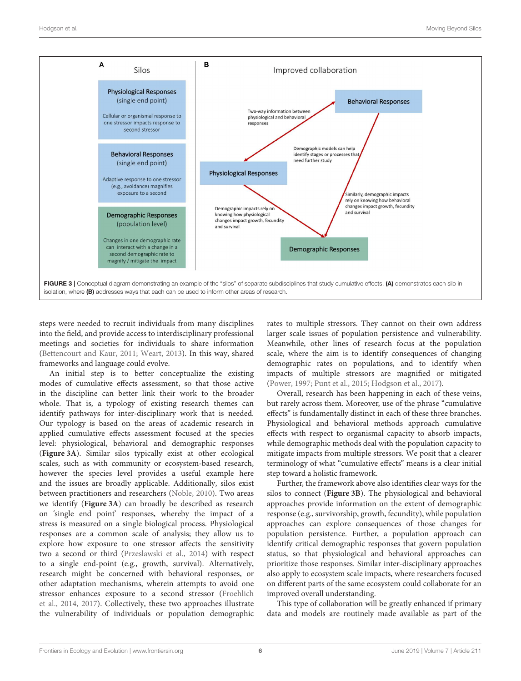

<span id="page-5-0"></span>steps were needed to recruit individuals from many disciplines into the field, and provide access to interdisciplinary professional meetings and societies for individuals to share information [\(Bettencourt and Kaur, 2011;](#page-6-16) [Weart, 2013\)](#page-7-30). In this way, shared frameworks and language could evolve.

An initial step is to better conceptualize the existing modes of cumulative effects assessment, so that those active in the discipline can better link their work to the broader whole. That is, a typology of existing research themes can identify pathways for inter-disciplinary work that is needed. Our typology is based on the areas of academic research in applied cumulative effects assessment focused at the species level: physiological, behavioral and demographic responses (**[Figure 3A](#page-5-0)**). Similar silos typically exist at other ecological scales, such as with community or ecosystem-based research, however the species level provides a useful example here and the issues are broadly applicable. Additionally, silos exist between practitioners and researchers [\(Noble, 2010\)](#page-7-24). Two areas we identify (**[Figure 3A](#page-5-0)**) can broadly be described as research on 'single end point' responses, whereby the impact of a stress is measured on a single biological process. Physiological responses are a common scale of analysis; they allow us to explore how exposure to one stressor affects the sensitivity two a second or third [\(Przeslawski et al., 2014\)](#page-7-2) with respect to a single end-point (e.g., growth, survival). Alternatively, research might be concerned with behavioral responses, or other adaptation mechanisms, wherein attempts to avoid one stressor enhances exposure to a second stressor (Froehlich et al., [2014,](#page-7-31) [2017\)](#page-7-32). Collectively, these two approaches illustrate the vulnerability of individuals or population demographic rates to multiple stressors. They cannot on their own address larger scale issues of population persistence and vulnerability. Meanwhile, other lines of research focus at the population scale, where the aim is to identify consequences of changing demographic rates on populations, and to identify when impacts of multiple stressors are magnified or mitigated [\(Power, 1997;](#page-7-14) [Punt et al., 2015;](#page-7-33) [Hodgson et al., 2017\)](#page-7-15).

Overall, research has been happening in each of these veins, but rarely across them. Moreover, use of the phrase "cumulative effects" is fundamentally distinct in each of these three branches. Physiological and behavioral methods approach cumulative effects with respect to organismal capacity to absorb impacts, while demographic methods deal with the population capacity to mitigate impacts from multiple stressors. We posit that a clearer terminology of what "cumulative effects" means is a clear initial step toward a holistic framework.

Further, the framework above also identifies clear ways for the silos to connect (**[Figure 3B](#page-5-0)**). The physiological and behavioral approaches provide information on the extent of demographic response (e.g., survivorship, growth, fecundity), while population approaches can explore consequences of those changes for population persistence. Further, a population approach can identify critical demographic responses that govern population status, so that physiological and behavioral approaches can prioritize those responses. Similar inter-disciplinary approaches also apply to ecosystem scale impacts, where researchers focused on different parts of the same ecosystem could collaborate for an improved overall understanding.

This type of collaboration will be greatly enhanced if primary data and models are routinely made available as part of the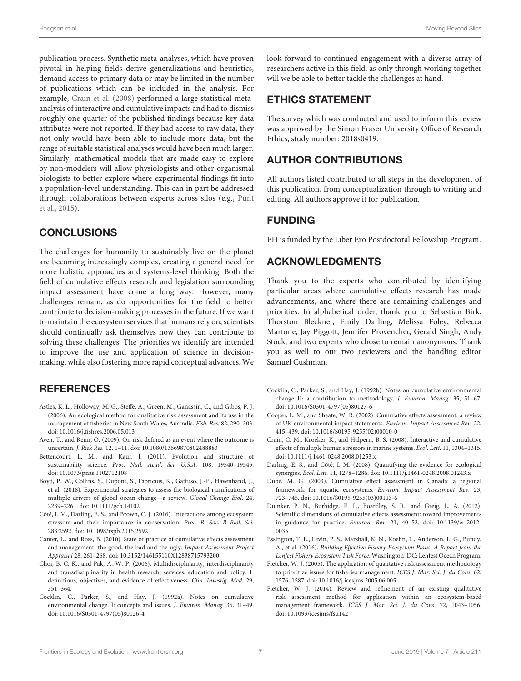publication process. Synthetic meta-analyses, which have proven pivotal in helping fields derive generalizations and heuristics, demand access to primary data or may be limited in the number of publications which can be included in the analysis. For example, [Crain et al. \(2008\)](#page-6-1) performed a large statistical metaanalysis of interactive and cumulative impacts and had to dismiss roughly one quarter of the published findings because key data attributes were not reported. If they had access to raw data, they not only would have been able to include more data, but the range of suitable statistical analyses would have been much larger. Similarly, mathematical models that are made easy to explore by non-modelers will allow physiologists and other organismal biologists to better explore where experimental findings fit into a population-level understanding. This can in part be addressed through collaborations between experts across silos (e.g., Punt et al., [2015\)](#page-7-33).

# **CONCLUSIONS**

The challenges for humanity to sustainably live on the planet are becoming increasingly complex, creating a general need for more holistic approaches and systems-level thinking. Both the field of cumulative effects research and legislation surrounding impact assessment have come a long way. However, many challenges remain, as do opportunities for the field to better contribute to decision-making processes in the future. If we want to maintain the ecosystem services that humans rely on, scientists should continually ask themselves how they can contribute to solving these challenges. The priorities we identify are intended to improve the use and application of science in decisionmaking, while also fostering more rapid conceptual advances. We

## **REFERENCES**

- <span id="page-6-13"></span>Astles, K. L., Holloway, M. G., Steffe, A., Green, M., Ganassin, C., and Gibbs, P. J. (2006). An ecological method for qualitative risk assessment and its use in the management of fisheries in New South Wales, Australia. Fish. Res. 82, 290–303. doi: [10.1016/j.fishres.2006.05.013](https://doi.org/10.1016/j.fishres.2006.05.013)
- <span id="page-6-10"></span>Aven, T., and Renn, O. (2009). On risk defined as an event where the outcome is uncertain. J. Risk Res. 12, 1–11. doi: [10.1080/13669870802488883](https://doi.org/10.1080/13669870802488883)
- <span id="page-6-16"></span>Bettencourt, L. M., and Kaur, J. (2011). Evolution and structure of sustainability science. Proc. Natl. Acad. Sci. U.S.A. 108, 19540–19545. doi: [10.1073/pnas.1102712108](https://doi.org/10.1073/pnas.1102712108)
- <span id="page-6-4"></span>Boyd, P. W., Collins, S., Dupont, S., Fabricius, K., Gattuso, J.-P., Havenhand, J., et al. (2018). Experimental strategies to assess the biological ramifications of multiple drivers of global ocean change—a review. Global Change Biol. 24, 2239–2261. doi: [10.1111/gcb.14102](https://doi.org/10.1111/gcb.14102)
- <span id="page-6-6"></span>Côté, I. M., Darling, E. S., and Brown, C. J. (2016). Interactions among ecosystem stressors and their importance in conservation. Proc. R. Soc. B Biol. Sci. 283:2592. doi: [10.1098/rspb.2015.2592](https://doi.org/10.1098/rspb.2015.2592)
- <span id="page-6-8"></span>Canter, L., and Ross, B. (2010). State of practice of cumulative effects assessment and management: the good, the bad and the ugly. Impact Assessment Project Appraisal 28, 261–268. doi: [10.3152/146155110X12838715793200](https://doi.org/10.3152/146155110X12838715793200)
- <span id="page-6-14"></span>Choi, B. C. K., and Pak, A. W. P. (2006). Multidisciplinarity, interdisciplinarity and transdisciplinarity in health research, services, education and policy: 1. definitions, objectives, and evidence of effectiveness. Clin. Investig. Med. 29, 351–364.
- <span id="page-6-0"></span>Cocklin, C., Parker, S., and Hay, J. (1992a). Notes on cumulative environmental change. I: concepts and issues. J. Environ. Manag. 35, 31–49. doi: [10.1016/S0301-4797\(05\)80126-4](https://doi.org/10.1016/S0301-4797(05)80126-4)

look forward to continued engagement with a diverse array of researchers active in this field, as only through working together will we be able to better tackle the challenges at hand.

### ETHICS STATEMENT

The survey which was conducted and used to inform this review was approved by the Simon Fraser University Office of Research Ethics, study number: 2018s0419.

## AUTHOR CONTRIBUTIONS

All authors listed contributed to all steps in the development of this publication, from conceptualization through to writing and editing. All authors approve it for publication.

### FUNDING

EH is funded by the Liber Ero Postdoctoral Fellowship Program.

## ACKNOWLEDGMENTS

Thank you to the experts who contributed by identifying particular areas where cumulative effects research has made advancements, and where there are remaining challenges and priorities. In alphabetical order, thank you to Sebastian Birk, Thorston Bleckner, Emily Darling, Melissa Foley, Rebecca Martone, Jay Piggott, Jennifer Provencher, Gerald Singh, Andy Stock, and two experts who chose to remain anonymous. Thank you as well to our two reviewers and the handling editor Samuel Cushman.

- <span id="page-6-2"></span>Cocklin, C., Parker, S., and Hay, J. (1992b). Notes on cumulative environmental change II: a contribution to methodology. J. Environ. Manag. 35, 51–67. doi: [10.1016/S0301-4797\(05\)80127-6](https://doi.org/10.1016/S0301-4797(05)80127-6)
- <span id="page-6-7"></span>Cooper, L. M., and Sheate, W. R. (2002). Cumulative effects assessment: a review of UK environmental impact statements. Environ. Impact Assessment Rev. 22, 415–439. doi: [10.1016/S0195-9255\(02\)00010-0](https://doi.org/10.1016/S0195-9255(02)00010-0)
- <span id="page-6-1"></span>Crain, C. M., Kroeker, K., and Halpern, B. S. (2008). Interactive and cumulative effects of multiple human stressors in marine systems. Ecol. Lett. 11, 1304–1315. doi: [10.1111/j.1461-0248.2008.01253.x](https://doi.org/10.1111/j.1461-0248.2008.01253.x)
- <span id="page-6-5"></span>Darling, E. S., and Côté, I. M. (2008). Quantifying the evidence for ecological synergies. Ecol. Lett. 11, 1278–1286. doi: [10.1111/j.1461-0248.2008.01243.x](https://doi.org/10.1111/j.1461-0248.2008.01243.x)
- <span id="page-6-15"></span>Dubé, M. G. (2003). Cumulative effect assessment in Canada: a regional framework for aquatic ecosystems. Environ. Impact Assessment Rev. 23, 723–745. doi: [10.1016/S0195-9255\(03\)00113-6](https://doi.org/10.1016/S0195-9255(03)00113-6)
- <span id="page-6-3"></span>Duinker, P. N., Burbidge, E. L., Boardley, S. R., and Greig, L. A. (2012). Scientific dimensions of cumulative effects assessment: toward improvements in guidance for practice. Environ. Rev. [21, 40–52. doi: 10.1139/er-2012-](https://doi.org/10.1139/er-2012-0035) 0035
- <span id="page-6-9"></span>Essington, T. E., Levin, P. S., Marshall, K. N., Koehn, L., Anderson, L. G., Bundy, A., et al. (2016). Building Effective Fishery Ecosystem Plans: A Report from the Lenfest Fishery Ecosystem Task Force. Washington, DC: Lenfest Ocean Program.
- <span id="page-6-11"></span>Fletcher, W. J. (2005). The application of qualitative risk assessment methodology to prioritize issues for fisheries management. ICES J. Mar. Sci. J. du Cons. 62, 1576–1587. doi: [10.1016/j.icesjms.2005.06.005](https://doi.org/10.1016/j.icesjms.2005.06.005)
- <span id="page-6-12"></span>Fletcher, W. J. (2014). Review and refinement of an existing qualitative risk assessment method for application within an ecosystem-based management framework. ICES J. Mar. Sci. J. du Cons. 72, 1043–1056. doi: [10.1093/icesjms/fsu142](https://doi.org/10.1093/icesjms/fsu142)